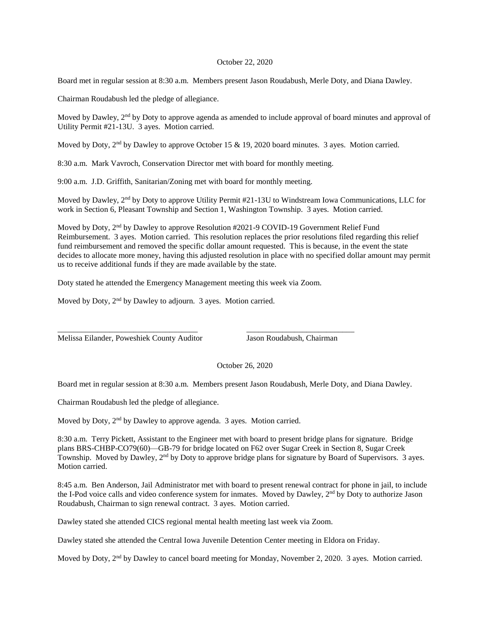## October 22, 2020

Board met in regular session at 8:30 a.m. Members present Jason Roudabush, Merle Doty, and Diana Dawley.

Chairman Roudabush led the pledge of allegiance.

Moved by Dawley, 2<sup>nd</sup> by Doty to approve agenda as amended to include approval of board minutes and approval of Utility Permit #21-13U. 3 ayes. Motion carried.

Moved by Doty, 2<sup>nd</sup> by Dawley to approve October 15 & 19, 2020 board minutes. 3 ayes. Motion carried.

8:30 a.m. Mark Vavroch, Conservation Director met with board for monthly meeting.

9:00 a.m. J.D. Griffith, Sanitarian/Zoning met with board for monthly meeting.

Moved by Dawley, 2<sup>nd</sup> by Doty to approve Utility Permit #21-13U to Windstream Iowa Communications, LLC for work in Section 6, Pleasant Township and Section 1, Washington Township. 3 ayes. Motion carried.

Moved by Doty,  $2<sup>nd</sup>$  by Dawley to approve Resolution #2021-9 COVID-19 Government Relief Fund Reimbursement. 3 ayes. Motion carried. This resolution replaces the prior resolutions filed regarding this relief fund reimbursement and removed the specific dollar amount requested. This is because, in the event the state decides to allocate more money, having this adjusted resolution in place with no specified dollar amount may permit us to receive additional funds if they are made available by the state.

Doty stated he attended the Emergency Management meeting this week via Zoom.

\_\_\_\_\_\_\_\_\_\_\_\_\_\_\_\_\_\_\_\_\_\_\_\_\_\_\_\_\_\_\_\_\_\_\_ \_\_\_\_\_\_\_\_\_\_\_\_\_\_\_\_\_\_\_\_\_\_\_\_\_\_\_

Moved by Doty, 2<sup>nd</sup> by Dawley to adjourn. 3 ayes. Motion carried.

Melissa Eilander, Poweshiek County Auditor Jason Roudabush, Chairman

October 26, 2020

Board met in regular session at 8:30 a.m. Members present Jason Roudabush, Merle Doty, and Diana Dawley.

Chairman Roudabush led the pledge of allegiance.

Moved by Doty, 2<sup>nd</sup> by Dawley to approve agenda. 3 ayes. Motion carried.

8:30 a.m. Terry Pickett, Assistant to the Engineer met with board to present bridge plans for signature. Bridge plans BRS-CHBP-CO79(60)—GB-79 for bridge located on F62 over Sugar Creek in Section 8, Sugar Creek Township. Moved by Dawley, 2nd by Doty to approve bridge plans for signature by Board of Supervisors. 3 ayes. Motion carried.

8:45 a.m. Ben Anderson, Jail Administrator met with board to present renewal contract for phone in jail, to include the I-Pod voice calls and video conference system for inmates. Moved by Dawley, 2<sup>nd</sup> by Doty to authorize Jason Roudabush, Chairman to sign renewal contract. 3 ayes. Motion carried.

Dawley stated she attended CICS regional mental health meeting last week via Zoom.

Dawley stated she attended the Central Iowa Juvenile Detention Center meeting in Eldora on Friday.

Moved by Doty, 2<sup>nd</sup> by Dawley to cancel board meeting for Monday, November 2, 2020. 3 ayes. Motion carried.